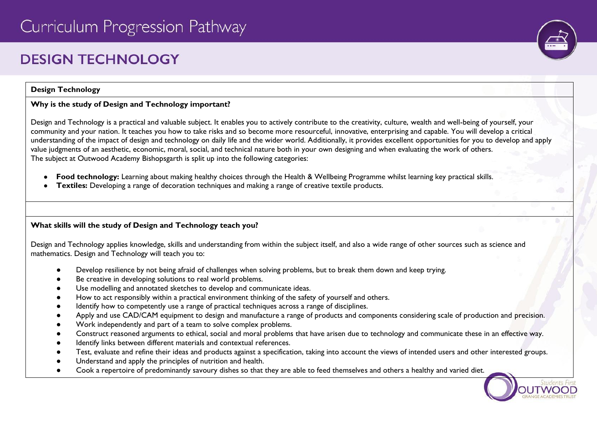# **DESIGN TECHNOLOGY**

#### **Design Technology**

### **Why is the study of Design and Technology important?**

Design and Technology is a practical and valuable subject. It enables you to actively contribute to the creativity, culture, wealth and well-being of yourself, your community and your nation. It teaches you how to take risks and so become more resourceful, innovative, enterprising and capable. You will develop a critical understanding of the impact of design and technology on daily life and the wider world. Additionally, it provides excellent opportunities for you to develop and apply value judgments of an aesthetic, economic, moral, social, and technical nature both in your own designing and when evaluating the work of others. The subject at Outwood Academy Bishopsgarth is split up into the following categories:

- **Food technology:** Learning about making healthy choices through the Health & Wellbeing Programme whilst learning key practical skills.
- **Textiles:** Developing a range of decoration techniques and making a range of creative textile products.

# **What skills will the study of Design and Technology teach you?**

Design and Technology applies knowledge, skills and understanding from within the subject itself, and also a wide range of other sources such as science and mathematics. Design and Technology will teach you to:

- Develop resilience by not being afraid of challenges when solving problems, but to break them down and keep trying.
- Be creative in developing solutions to real world problems.
- Use modelling and annotated sketches to develop and communicate ideas.
- How to act responsibly within a practical environment thinking of the safety of yourself and others.
- Identify how to competently use a range of practical techniques across a range of disciplines.
- Apply and use CAD/CAM equipment to design and manufacture a range of products and components considering scale of production and precision.
- Work independently and part of a team to solve complex problems.
- Construct reasoned arguments to ethical, social and moral problems that have arisen due to technology and communicate these in an effective way.
- Identify links between different materials and contextual references.
- Test, evaluate and refine their ideas and products against a specification, taking into account the views of intended users and other interested groups.
- Understand and apply the principles of nutrition and health.
- Cook a repertoire of predominantly savoury dishes so that they are able to feed themselves and others a healthy and varied diet.

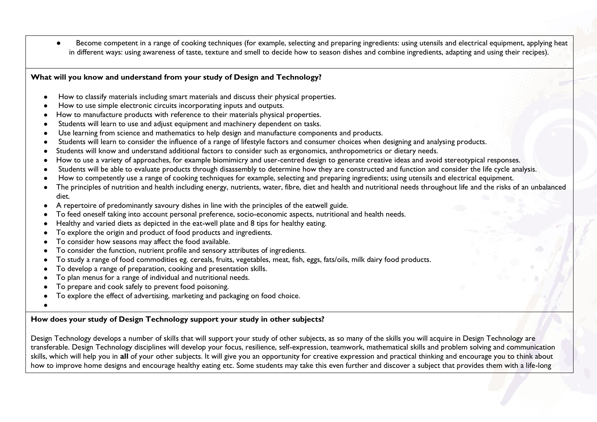Become competent in a range of cooking techniques (for example, selecting and preparing ingredients: using utensils and electrical equipment, applying heat in different ways: using awareness of taste, texture and smell to decide how to season dishes and combine ingredients, adapting and using their recipes).

#### **What will you know and understand from your study of Design and Technology?**

- How to classify materials including smart materials and discuss their physical properties.
- How to use simple electronic circuits incorporating inputs and outputs.
- How to manufacture products with reference to their materials physical properties.
- Students will learn to use and adjust equipment and machinery dependent on tasks.
- Use learning from science and mathematics to help design and manufacture components and products.
- Students will learn to consider the influence of a range of lifestyle factors and consumer choices when designing and analysing products.
- Students will know and understand additional factors to consider such as ergonomics, anthropometrics or dietary needs.
- How to use a variety of approaches, for example biomimicry and user-centred design to generate creative ideas and avoid stereotypical responses.
- Students will be able to evaluate products through disassembly to determine how they are constructed and function and consider the life cycle analysis.
- How to competently use a range of cooking techniques for example, selecting and preparing ingredients; using utensils and electrical equipment.
- The principles of nutrition and health including energy, nutrients, water, fibre, diet and health and nutritional needs throughout life and the risks of an unbalanced diet.
- A repertoire of predominantly savoury dishes in line with the principles of the eatwell guide.
- To feed oneself taking into account personal preference, socio-economic aspects, nutritional and health needs.
- Healthy and varied diets as depicted in the eat-well plate and 8 tips for healthy eating.
- To explore the origin and product of food products and ingredients.
- To consider how seasons may affect the food available.
- To consider the function, nutrient profile and sensory attributes of ingredients.
- To study a range of food commodities eg. cereals, fruits, vegetables, meat, fish, eggs, fats/oils, milk dairy food products.
- To develop a range of preparation, cooking and presentation skills.
- To plan menus for a range of individual and nutritional needs.
- To prepare and cook safely to prevent food poisoning.
- To explore the effect of advertising, marketing and packaging on food choice.
- ●

# **How does your study of Design Technology support your study in other subjects?**

Design Technology develops a number of skills that will support your study of other subjects, as so many of the skills you will acquire in Design Technology are transferable. Design Technology disciplines will develop your focus, resilience, self-expression, teamwork, mathematical skills and problem solving and communication skills, which will help you in **all** of your other subjects. It will give you an opportunity for creative expression and practical thinking and encourage you to think about how to improve home designs and encourage healthy eating etc. Some students may take this even further and discover a subject that provides them with a life-long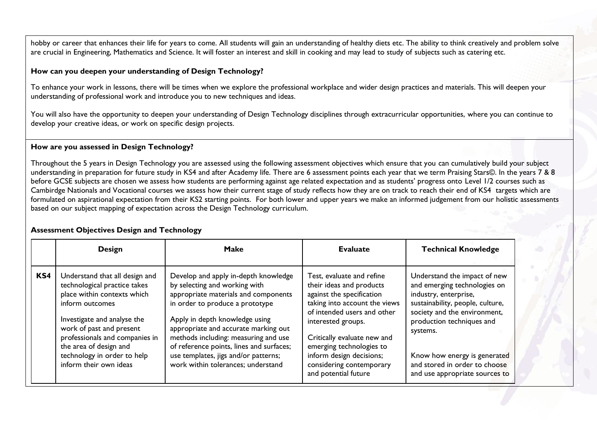hobby or career that enhances their life for years to come. All students will gain an understanding of healthy diets etc. The ability to think creatively and problem solve are crucial in Engineering, Mathematics and Science. It will foster an interest and skill in cooking and may lead to study of subjects such as catering etc.

#### **How can you deepen your understanding of Design Technology?**

To enhance your work in lessons, there will be times when we explore the professional workplace and wider design practices and materials. This will deepen your understanding of professional work and introduce you to new techniques and ideas.

You will also have the opportunity to deepen your understanding of Design Technology disciplines through extracurricular opportunities, where you can continue to develop your creative ideas, or work on specific design projects.

#### **How are you assessed in Design Technology?**

Throughout the 5 years in Design Technology you are assessed using the following assessment objectives which ensure that you can cumulatively build your subject understanding in preparation for future study in KS4 and after Academy life. There are 6 assessment points each year that we term Praising Stars©. In the years 7 & 8 before GCSE subjects are chosen we assess how students are performing against age related expectation and as students' progress onto Level 1/2 courses such as Cambirdge Nationals and Vocational courses we assess how their current stage of study reflects how they are on track to reach their end of KS4 targets which are formulated on aspirational expectation from their KS2 starting points. For both lower and upper years we make an informed judgement from our holistic assessments based on our subject mapping of expectation across the Design Technology curriculum.

|     | <b>Design</b>                                                                                                                                                                                                                                                                                    | Make                                                                                                                                                                                                                                                                                                                                                                                         | <b>Evaluate</b>                                                                                                                                                                                                                                                                                                     | <b>Technical Knowledge</b>                                                                                                                                                                                                                                                                            |
|-----|--------------------------------------------------------------------------------------------------------------------------------------------------------------------------------------------------------------------------------------------------------------------------------------------------|----------------------------------------------------------------------------------------------------------------------------------------------------------------------------------------------------------------------------------------------------------------------------------------------------------------------------------------------------------------------------------------------|---------------------------------------------------------------------------------------------------------------------------------------------------------------------------------------------------------------------------------------------------------------------------------------------------------------------|-------------------------------------------------------------------------------------------------------------------------------------------------------------------------------------------------------------------------------------------------------------------------------------------------------|
| KS4 | Understand that all design and<br>technological practice takes<br>place within contexts which<br>inform outcomes<br>Investigate and analyse the<br>work of past and present<br>professionals and companies in<br>the area of design and<br>technology in order to help<br>inform their own ideas | Develop and apply in-depth knowledge<br>by selecting and working with<br>appropriate materials and components<br>in order to produce a prototype<br>Apply in depth knowledge using<br>appropriate and accurate marking out<br>methods including: measuring and use<br>of reference points, lines and surfaces;<br>use templates, jigs and/or patterns;<br>work within tolerances; understand | Test, evaluate and refine<br>their ideas and products<br>against the specification<br>taking into account the views<br>of intended users and other<br>interested groups.<br>Critically evaluate new and<br>emerging technologies to<br>inform design decisions;<br>considering contemporary<br>and potential future | Understand the impact of new<br>and emerging technologies on<br>industry, enterprise,<br>sustainability, people, culture,<br>society and the environment,<br>production techniques and<br>systems.<br>Know how energy is generated<br>and stored in order to choose<br>and use appropriate sources to |

# **Assessment Objectives Design and Technology**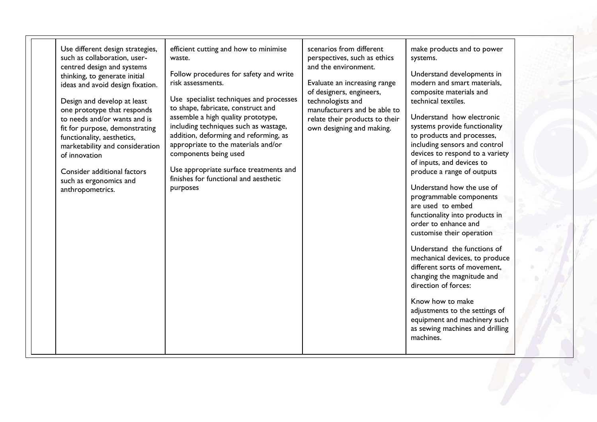| Use different design strategies,<br>such as collaboration, user-<br>centred design and systems<br>thinking, to generate initial<br>ideas and avoid design fixation.<br>Design and develop at least<br>one prototype that responds<br>to needs and/or wants and is<br>fit for purpose, demonstrating<br>functionality, aesthetics,<br>marketability and consideration<br>of innovation<br>Consider additional factors<br>such as ergonomics and<br>anthropometrics. | efficient cutting and how to minimise<br>waste.<br>Follow procedures for safety and write<br>risk assessments.<br>Use specialist techniques and processes<br>to shape, fabricate, construct and<br>assemble a high quality prototype,<br>including techniques such as wastage,<br>addition, deforming and reforming, as<br>appropriate to the materials and/or<br>components being used<br>Use appropriate surface treatments and<br>finishes for functional and aesthetic<br>purposes | scenarios from different<br>perspectives, such as ethics<br>and the environment.<br>Evaluate an increasing range<br>of designers, engineers,<br>technologists and<br>manufacturers and be able to<br>relate their products to their<br>own designing and making. | make products and to power<br>systems.<br>Understand developments in<br>modern and smart materials,<br>composite materials and<br>technical textiles.<br>Understand how electronic<br>systems provide functionality<br>to products and processes,<br>including sensors and control<br>devices to respond to a variety<br>of inputs, and devices to<br>produce a range of outputs<br>Understand how the use of<br>programmable components<br>are used to embed<br>functionality into products in<br>order to enhance and<br>customise their operation<br>Understand the functions of<br>mechanical devices, to produce<br>different sorts of movement,<br>changing the magnitude and<br>direction of forces:<br>Know how to make<br>adjustments to the settings of<br>equipment and machinery such<br>as sewing machines and drilling<br>machines. |  |
|--------------------------------------------------------------------------------------------------------------------------------------------------------------------------------------------------------------------------------------------------------------------------------------------------------------------------------------------------------------------------------------------------------------------------------------------------------------------|----------------------------------------------------------------------------------------------------------------------------------------------------------------------------------------------------------------------------------------------------------------------------------------------------------------------------------------------------------------------------------------------------------------------------------------------------------------------------------------|------------------------------------------------------------------------------------------------------------------------------------------------------------------------------------------------------------------------------------------------------------------|---------------------------------------------------------------------------------------------------------------------------------------------------------------------------------------------------------------------------------------------------------------------------------------------------------------------------------------------------------------------------------------------------------------------------------------------------------------------------------------------------------------------------------------------------------------------------------------------------------------------------------------------------------------------------------------------------------------------------------------------------------------------------------------------------------------------------------------------------|--|
|--------------------------------------------------------------------------------------------------------------------------------------------------------------------------------------------------------------------------------------------------------------------------------------------------------------------------------------------------------------------------------------------------------------------------------------------------------------------|----------------------------------------------------------------------------------------------------------------------------------------------------------------------------------------------------------------------------------------------------------------------------------------------------------------------------------------------------------------------------------------------------------------------------------------------------------------------------------------|------------------------------------------------------------------------------------------------------------------------------------------------------------------------------------------------------------------------------------------------------------------|---------------------------------------------------------------------------------------------------------------------------------------------------------------------------------------------------------------------------------------------------------------------------------------------------------------------------------------------------------------------------------------------------------------------------------------------------------------------------------------------------------------------------------------------------------------------------------------------------------------------------------------------------------------------------------------------------------------------------------------------------------------------------------------------------------------------------------------------------|--|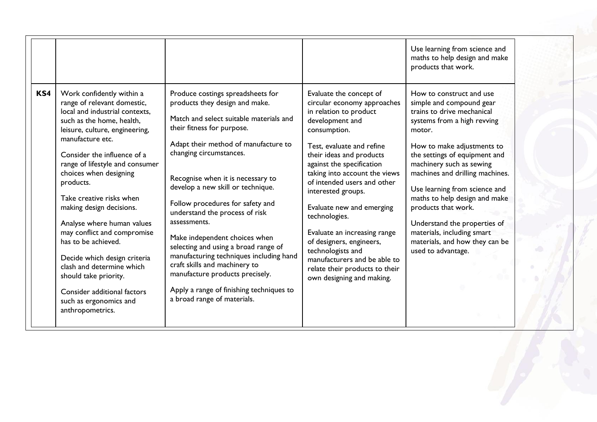|     |                                                                                                                                                                                                                                                                                                                                                                                                                                                                                                                                                                                                       |                                                                                                                                                                                                                                                                                                                                                                                                                                                                                                                                                                                                                                                    |                                                                                                                                                                                                                                                                                                                                                                                                                                                                                                                               | Use learning from science and<br>maths to help design and make<br>products that work.                                                                                                                                                                                                                                                                                                                                                                                    |
|-----|-------------------------------------------------------------------------------------------------------------------------------------------------------------------------------------------------------------------------------------------------------------------------------------------------------------------------------------------------------------------------------------------------------------------------------------------------------------------------------------------------------------------------------------------------------------------------------------------------------|----------------------------------------------------------------------------------------------------------------------------------------------------------------------------------------------------------------------------------------------------------------------------------------------------------------------------------------------------------------------------------------------------------------------------------------------------------------------------------------------------------------------------------------------------------------------------------------------------------------------------------------------------|-------------------------------------------------------------------------------------------------------------------------------------------------------------------------------------------------------------------------------------------------------------------------------------------------------------------------------------------------------------------------------------------------------------------------------------------------------------------------------------------------------------------------------|--------------------------------------------------------------------------------------------------------------------------------------------------------------------------------------------------------------------------------------------------------------------------------------------------------------------------------------------------------------------------------------------------------------------------------------------------------------------------|
| KS4 | Work confidently within a<br>range of relevant domestic,<br>local and industrial contexts.<br>such as the home, health,<br>leisure, culture, engineering,<br>manufacture etc.<br>Consider the influence of a<br>range of lifestyle and consumer<br>choices when designing<br>products.<br>Take creative risks when<br>making design decisions.<br>Analyse where human values<br>may conflict and compromise<br>has to be achieved.<br>Decide which design criteria<br>clash and determine which<br>should take priority.<br>Consider additional factors<br>such as ergonomics and<br>anthropometrics. | Produce costings spreadsheets for<br>products they design and make.<br>Match and select suitable materials and<br>their fitness for purpose.<br>Adapt their method of manufacture to<br>changing circumstances.<br>Recognise when it is necessary to<br>develop a new skill or technique.<br>Follow procedures for safety and<br>understand the process of risk<br>assessments.<br>Make independent choices when<br>selecting and using a broad range of<br>manufacturing techniques including hand<br>craft skills and machinery to<br>manufacture products precisely.<br>Apply a range of finishing techniques to<br>a broad range of materials. | Evaluate the concept of<br>circular economy approaches<br>in relation to product<br>development and<br>consumption.<br>Test, evaluate and refine<br>their ideas and products<br>against the specification<br>taking into account the views<br>of intended users and other<br>interested groups.<br>Evaluate new and emerging<br>technologies.<br>Evaluate an increasing range<br>of designers, engineers,<br>technologists and<br>manufacturers and be able to<br>relate their products to their<br>own designing and making. | How to construct and use<br>simple and compound gear<br>trains to drive mechanical<br>systems from a high revving<br>motor.<br>How to make adjustments to<br>the settings of equipment and<br>machinery such as sewing<br>machines and drilling machines.<br>Use learning from science and<br>maths to help design and make<br>products that work.<br>Understand the properties of<br>materials, including smart<br>materials, and how they can be<br>used to advantage. |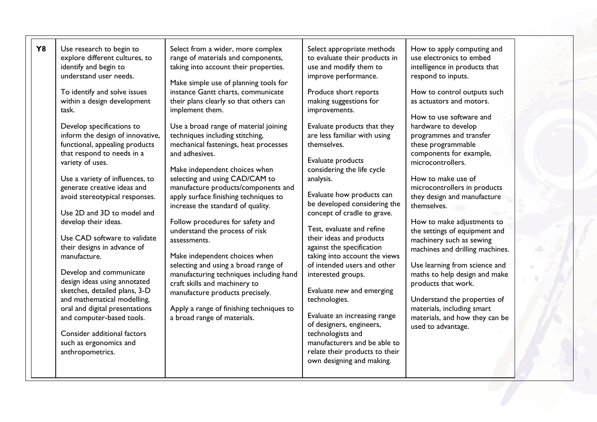| <b>Y8</b> | Use research to begin to<br>explore different cultures, to<br>identify and begin to<br>understand user needs.<br>To identify and solve issues<br>within a design development<br>task.<br>Develop specifications to<br>inform the design of innovative,<br>functional, appealing products<br>that respond to needs in a<br>variety of uses.<br>Use a variety of influences, to<br>generate creative ideas and<br>avoid stereotypical responses.<br>Use 2D and 3D to model and<br>develop their ideas.<br>Use CAD software to validate<br>their designs in advance of<br>manufacture.<br>Develop and communicate<br>design ideas using annotated<br>sketches, detailed plans, 3-D<br>and mathematical modelling,<br>oral and digital presentations<br>and computer-based tools.<br>Consider additional factors<br>such as ergonomics and | Select from a wider, more complex<br>range of materials and components,<br>taking into account their properties.<br>Make simple use of planning tools for<br>instance Gantt charts, communicate<br>their plans clearly so that others can<br>implement them.<br>Use a broad range of material joining<br>techniques including stitching,<br>mechanical fastenings, heat processes<br>and adhesives.<br>Make independent choices when<br>selecting and using CAD/CAM to<br>manufacture products/components and<br>apply surface finishing techniques to<br>increase the standard of quality.<br>Follow procedures for safety and<br>understand the process of risk<br>assessments.<br>Make independent choices when<br>selecting and using a broad range of<br>manufacturing techniques including hand<br>craft skills and machinery to<br>manufacture products precisely.<br>Apply a range of finishing techniques to<br>a broad range of materials. | Select appropriate methods<br>to evaluate their products in<br>use and modify them to<br>improve performance.<br>Produce short reports<br>making suggestions for<br>improvements.<br>Evaluate products that they<br>are less familiar with using<br>themselves.<br>Evaluate products<br>considering the life cycle<br>analysis.<br>Evaluate how products can<br>be developed considering the<br>concept of cradle to grave.<br>Test, evaluate and refine<br>their ideas and products<br>against the specification<br>taking into account the views<br>of intended users and other<br>interested groups.<br>Evaluate new and emerging<br>technologies.<br>Evaluate an increasing range<br>of designers, engineers,<br>technologists and<br>manufacturers and be able to | How to apply computing and<br>use electronics to embed<br>intelligence in products that<br>respond to inputs.<br>How to control outputs such<br>as actuators and motors.<br>How to use software and<br>hardware to develop<br>programmes and transfer<br>these programmable<br>components for example,<br>microcontrollers.<br>How to make use of<br>microcontrollers in products<br>they design and manufacture<br>themselves.<br>How to make adjustments to<br>the settings of equipment and<br>machinery such as sewing<br>machines and drilling machines.<br>Use learning from science and<br>maths to help design and make<br>products that work.<br>Understand the properties of<br>materials, including smart<br>materials, and how they can be<br>used to advantage. |
|-----------|----------------------------------------------------------------------------------------------------------------------------------------------------------------------------------------------------------------------------------------------------------------------------------------------------------------------------------------------------------------------------------------------------------------------------------------------------------------------------------------------------------------------------------------------------------------------------------------------------------------------------------------------------------------------------------------------------------------------------------------------------------------------------------------------------------------------------------------|------------------------------------------------------------------------------------------------------------------------------------------------------------------------------------------------------------------------------------------------------------------------------------------------------------------------------------------------------------------------------------------------------------------------------------------------------------------------------------------------------------------------------------------------------------------------------------------------------------------------------------------------------------------------------------------------------------------------------------------------------------------------------------------------------------------------------------------------------------------------------------------------------------------------------------------------------|------------------------------------------------------------------------------------------------------------------------------------------------------------------------------------------------------------------------------------------------------------------------------------------------------------------------------------------------------------------------------------------------------------------------------------------------------------------------------------------------------------------------------------------------------------------------------------------------------------------------------------------------------------------------------------------------------------------------------------------------------------------------|------------------------------------------------------------------------------------------------------------------------------------------------------------------------------------------------------------------------------------------------------------------------------------------------------------------------------------------------------------------------------------------------------------------------------------------------------------------------------------------------------------------------------------------------------------------------------------------------------------------------------------------------------------------------------------------------------------------------------------------------------------------------------|
|           | anthropometrics.                                                                                                                                                                                                                                                                                                                                                                                                                                                                                                                                                                                                                                                                                                                                                                                                                       |                                                                                                                                                                                                                                                                                                                                                                                                                                                                                                                                                                                                                                                                                                                                                                                                                                                                                                                                                      | relate their products to their<br>own designing and making.                                                                                                                                                                                                                                                                                                                                                                                                                                                                                                                                                                                                                                                                                                            |                                                                                                                                                                                                                                                                                                                                                                                                                                                                                                                                                                                                                                                                                                                                                                              |
|           |                                                                                                                                                                                                                                                                                                                                                                                                                                                                                                                                                                                                                                                                                                                                                                                                                                        |                                                                                                                                                                                                                                                                                                                                                                                                                                                                                                                                                                                                                                                                                                                                                                                                                                                                                                                                                      |                                                                                                                                                                                                                                                                                                                                                                                                                                                                                                                                                                                                                                                                                                                                                                        |                                                                                                                                                                                                                                                                                                                                                                                                                                                                                                                                                                                                                                                                                                                                                                              |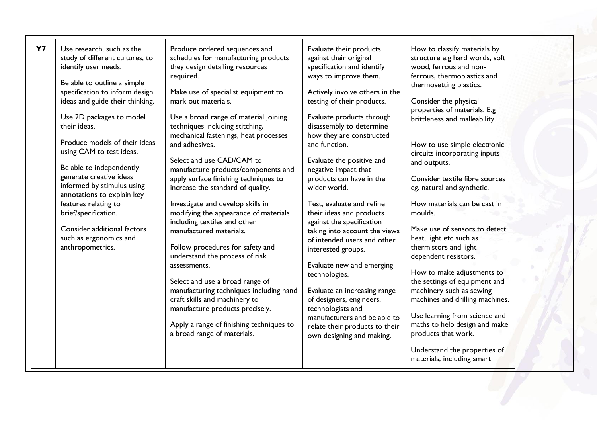| <b>Y7</b><br>Use research, such as the<br>Produce ordered sequences and<br>Evaluate their products<br>How to classify materials by<br>schedules for manufacturing products<br>structure e.g hard words, soft<br>study of different cultures, to<br>against their original<br>they design detailing resources<br>wood, ferrous and non-<br>identify user needs.<br>specification and identify<br>ways to improve them.<br>ferrous, thermoplastics and<br>required.<br>Be able to outline a simple<br>thermosetting plastics.<br>specification to inform design<br>Make use of specialist equipment to<br>Actively involve others in the<br>ideas and guide their thinking.<br>mark out materials.<br>testing of their products.<br>Consider the physical<br>properties of materials. E.g<br>Use 2D packages to model<br>Use a broad range of material joining<br>Evaluate products through<br>brittleness and malleability.<br>their ideas.<br>techniques including stitching,<br>disassembly to determine<br>mechanical fastenings, heat processes<br>how they are constructed<br>Produce models of their ideas<br>and adhesives.<br>and function.<br>How to use simple electronic<br>using CAM to test ideas.<br>circuits incorporating inputs<br>Select and use CAD/CAM to<br>Evaluate the positive and<br>and outputs.<br>Be able to independently<br>manufacture products/components and<br>negative impact that<br>generate creative ideas<br>apply surface finishing techniques to<br>products can have in the<br>Consider textile fibre sources<br>informed by stimulus using<br>increase the standard of quality.<br>wider world.<br>eg. natural and synthetic.<br>annotations to explain key |  |                                   |                           |                              |  |
|-------------------------------------------------------------------------------------------------------------------------------------------------------------------------------------------------------------------------------------------------------------------------------------------------------------------------------------------------------------------------------------------------------------------------------------------------------------------------------------------------------------------------------------------------------------------------------------------------------------------------------------------------------------------------------------------------------------------------------------------------------------------------------------------------------------------------------------------------------------------------------------------------------------------------------------------------------------------------------------------------------------------------------------------------------------------------------------------------------------------------------------------------------------------------------------------------------------------------------------------------------------------------------------------------------------------------------------------------------------------------------------------------------------------------------------------------------------------------------------------------------------------------------------------------------------------------------------------------------------------------------------------------------------------------------------------------------|--|-----------------------------------|---------------------------|------------------------------|--|
| features relating to<br>brief/specification.<br>modifying the appearance of materials<br>their ideas and products<br>moulds.<br>including textiles and other<br>against the specification<br>Consider additional factors<br>Make use of sensors to detect<br>manufactured materials.<br>taking into account the views<br>such as ergonomics and<br>heat, light etc such as<br>of intended users and other<br>Follow procedures for safety and<br>thermistors and light<br>anthropometrics.<br>interested groups.<br>understand the process of risk<br>dependent resistors.<br>Evaluate new and emerging<br>assessments.<br>How to make adjustments to<br>technologies.<br>Select and use a broad range of<br>the settings of equipment and<br>manufacturing techniques including hand<br>machinery such as sewing<br>Evaluate an increasing range<br>craft skills and machinery to<br>machines and drilling machines.<br>of designers, engineers,<br>technologists and<br>manufacture products precisely.<br>Use learning from science and<br>manufacturers and be able to<br>maths to help design and make<br>Apply a range of finishing techniques to<br>relate their products to their<br>a broad range of materials.<br>products that work.<br>own designing and making.<br>Understand the properties of<br>materials, including smart                                                                                                                                                                                                                                                                                                                                                            |  | Investigate and develop skills in | Test, evaluate and refine | How materials can be cast in |  |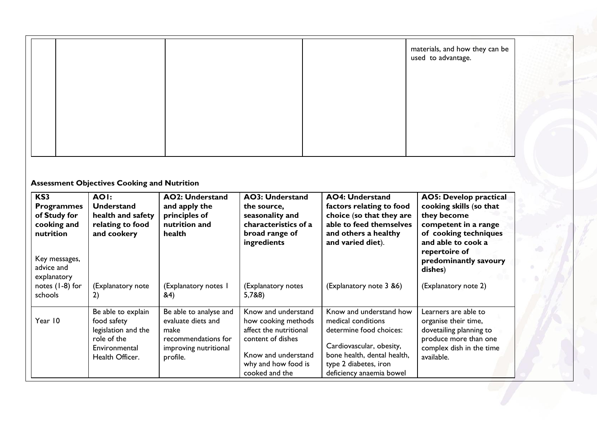|  |  | materials, and how they can be used to advantage. |
|--|--|---------------------------------------------------|
|  |  |                                                   |
|  |  |                                                   |
|  |  |                                                   |

# **Assessment Objectives Cooking and Nutrition**

| KS3<br><b>Programmes</b><br>of Study for<br>cooking and<br>nutrition | <b>AOI:</b><br><b>Understand</b><br>health and safety<br>relating to food<br>and cookery                    | <b>AO2: Understand</b><br>and apply the<br>principles of<br>nutrition and<br>health                              | <b>AO3: Understand</b><br>the source,<br>seasonality and<br>characteristics of a<br>broad range of<br>ingredients                                         | <b>AO4: Understand</b><br>factors relating to food<br>choice (so that they are<br>able to feed themselves<br>and others a healthy<br>and varied diet).                                   | <b>AO5: Develop practical</b><br>cooking skills (so that<br>they become<br>competent in a range<br>of cooking techniques<br>and able to cook a<br>repertoire of |
|----------------------------------------------------------------------|-------------------------------------------------------------------------------------------------------------|------------------------------------------------------------------------------------------------------------------|-----------------------------------------------------------------------------------------------------------------------------------------------------------|------------------------------------------------------------------------------------------------------------------------------------------------------------------------------------------|-----------------------------------------------------------------------------------------------------------------------------------------------------------------|
| Key messages,<br>advice and<br>explanatory                           |                                                                                                             |                                                                                                                  |                                                                                                                                                           |                                                                                                                                                                                          | predominantly savoury<br>dishes)                                                                                                                                |
| notes (1-8) for<br>schools                                           | (Explanatory note<br>2)                                                                                     | (Explanatory notes I<br>&4)                                                                                      | (Explanatory notes<br>5,7&8)                                                                                                                              | (Explanatory note 3 &6)                                                                                                                                                                  | (Explanatory note 2)                                                                                                                                            |
| Year 10                                                              | Be able to explain<br>food safety<br>legislation and the<br>role of the<br>Environmental<br>Health Officer. | Be able to analyse and<br>evaluate diets and<br>make<br>recommendations for<br>improving nutritional<br>profile. | Know and understand<br>how cooking methods<br>affect the nutritional<br>content of dishes<br>Know and understand<br>why and how food is<br>cooked and the | Know and understand how<br>medical conditions<br>determine food choices:<br>Cardiovascular, obesity,<br>bone health, dental health,<br>type 2 diabetes, iron<br>deficiency anaemia bowel | Learners are able to<br>organise their time,<br>dovetailing planning to<br>produce more than one<br>complex dish in the time<br>available.                      |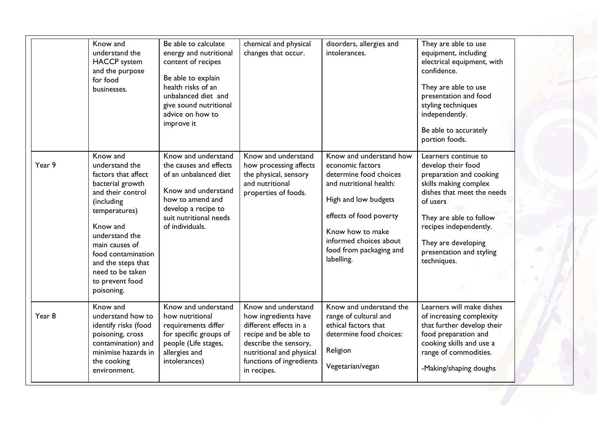|        | Know and<br>understand the<br><b>HACCP</b> system<br>and the purpose<br>for food<br>businesses.                                                                                                                                                                            | Be able to calculate<br>energy and nutritional<br>content of recipes<br>Be able to explain<br>health risks of an<br>unbalanced diet and<br>give sound nutritional<br>advice on how to<br>improve it | chemical and physical<br>changes that occur.                                                                                                                                                   | disorders, allergies and<br>intolerances.                                                                                                                                                                                                  | They are able to use<br>equipment, including<br>electrical equipment, with<br>confidence.<br>They are able to use<br>presentation and food<br>styling techniques<br>independently.<br>Be able to accurately<br>portion foods.                                   |
|--------|----------------------------------------------------------------------------------------------------------------------------------------------------------------------------------------------------------------------------------------------------------------------------|-----------------------------------------------------------------------------------------------------------------------------------------------------------------------------------------------------|------------------------------------------------------------------------------------------------------------------------------------------------------------------------------------------------|--------------------------------------------------------------------------------------------------------------------------------------------------------------------------------------------------------------------------------------------|-----------------------------------------------------------------------------------------------------------------------------------------------------------------------------------------------------------------------------------------------------------------|
| Year 9 | Know and<br>understand the<br>factors that affect<br>bacterial growth<br>and their control<br>(including<br>temperatures)<br>Know and<br>understand the<br>main causes of<br>food contamination<br>and the steps that<br>need to be taken<br>to prevent food<br>poisoning. | Know and understand<br>the causes and effects<br>of an unbalanced diet<br>Know and understand<br>how to amend and<br>develop a recipe to<br>suit nutritional needs<br>of individuals.               | Know and understand<br>how processing affects<br>the physical, sensory<br>and nutritional<br>properties of foods.                                                                              | Know and understand how<br>economic factors<br>determine food choices<br>and nutritional health:<br>High and low budgets<br>effects of food poverty<br>Know how to make<br>informed choices about<br>food from packaging and<br>labelling. | Learners continue to<br>develop their food<br>preparation and cooking<br>skills making complex<br>dishes that meet the needs<br>of users<br>They are able to follow<br>recipes independently.<br>They are developing<br>presentation and styling<br>techniques. |
| Year 8 | Know and<br>understand how to<br>identify risks (food<br>poisoning, cross<br>contamination) and<br>minimise hazards in<br>the cooking<br>environment.                                                                                                                      | Know and understand<br>how nutritional<br>requirements differ<br>for specific groups of<br>people (Life stages,<br>allergies and<br>intolerances)                                                   | Know and understand<br>how ingredients have<br>different effects in a<br>recipe and be able to<br>describe the sensory,<br>nutritional and physical<br>functions of ingredients<br>in recipes. | Know and understand the<br>range of cultural and<br>ethical factors that<br>determine food choices:<br>Religion<br>Vegetarian/vegan                                                                                                        | Learners will make dishes<br>of increasing complexity<br>that further develop their<br>food preparation and<br>cooking skills and use a<br>range of commodities.<br>-Making/shaping doughs                                                                      |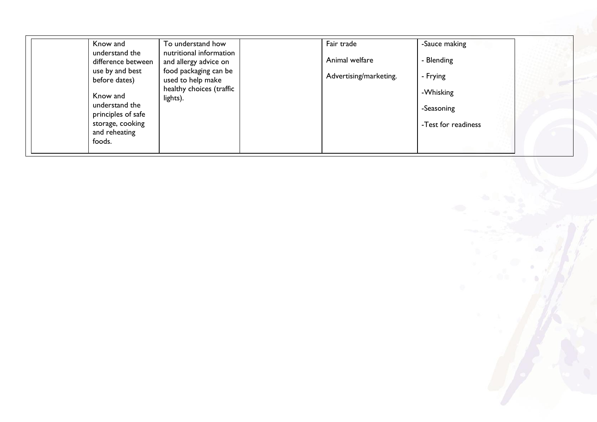| Know and                             | To understand how                                | Fair trade             | -Sauce making       |  |
|--------------------------------------|--------------------------------------------------|------------------------|---------------------|--|
| understand the<br>difference between | nutritional information<br>and allergy advice on | Animal welfare         | - Blending          |  |
| use by and best<br>before dates)     | food packaging can be<br>used to help make       | Advertising/marketing. | - Frying            |  |
| Know and                             | healthy choices (traffic<br>lights).             |                        | -Whisking           |  |
| understand the<br>principles of safe |                                                  |                        | -Seasoning          |  |
| storage, cooking<br>and reheating    |                                                  |                        | -Test for readiness |  |
| foods.                               |                                                  |                        |                     |  |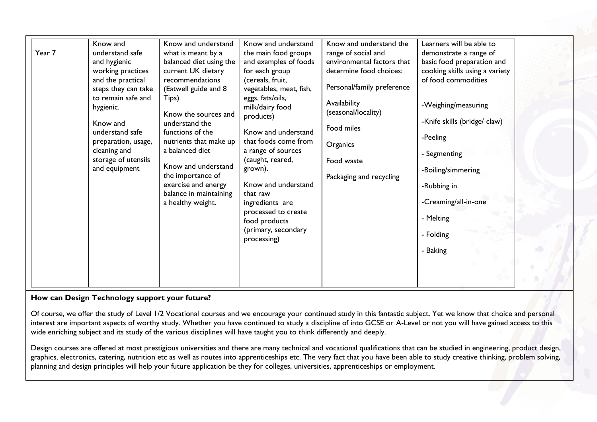| Know and understand<br>Know and understand<br>Know and<br>Year 7<br>understand safe<br>the main food groups<br>what is meant by a<br>balanced diet using the<br>and examples of foods<br>and hygienic<br>current UK dietary<br>for each group<br>working practices<br>and the practical<br>recommendations<br>(cereals, fruit,<br>(Eatwell guide and 8<br>steps they can take<br>vegetables, meat, fish,<br>to remain safe and<br>eggs, fats/oils,<br>Tips)<br>milk/dairy food<br>hygienic.<br>Know the sources and<br>products)<br>understand the<br>Know and<br>functions of the<br>Know and understand<br>understand safe<br>that foods come from<br>nutrients that make up<br>preparation, usage,<br>a balanced diet<br>cleaning and<br>a range of sources<br>storage of utensils<br>(caught, reared,<br>Know and understand<br>and equipment<br>grown).<br>the importance of<br>exercise and energy<br>Know and understand<br>balance in maintaining<br>that raw<br>a healthy weight.<br>ingredients are<br>processed to create<br>food products<br>(primary, secondary<br>processing) | Know and understand the<br>Learners will be able to<br>range of social and<br>demonstrate a range of<br>environmental factors that<br>basic food preparation and<br>determine food choices:<br>cooking skills using a variety<br>of food commodities<br>Personal/family preference<br>Availability<br>-Weighing/measuring<br>(seasonal/locality)<br>-Knife skills (bridge/ claw)<br>Food miles<br>-Peeling<br>Organics<br>- Segmenting<br>Food waste<br>-Boiling/simmering<br>Packaging and recycling<br>-Rubbing in<br>-Creaming/all-in-one<br>- Melting<br>- Folding<br>- Baking |  |
|---------------------------------------------------------------------------------------------------------------------------------------------------------------------------------------------------------------------------------------------------------------------------------------------------------------------------------------------------------------------------------------------------------------------------------------------------------------------------------------------------------------------------------------------------------------------------------------------------------------------------------------------------------------------------------------------------------------------------------------------------------------------------------------------------------------------------------------------------------------------------------------------------------------------------------------------------------------------------------------------------------------------------------------------------------------------------------------------|------------------------------------------------------------------------------------------------------------------------------------------------------------------------------------------------------------------------------------------------------------------------------------------------------------------------------------------------------------------------------------------------------------------------------------------------------------------------------------------------------------------------------------------------------------------------------------|--|
|---------------------------------------------------------------------------------------------------------------------------------------------------------------------------------------------------------------------------------------------------------------------------------------------------------------------------------------------------------------------------------------------------------------------------------------------------------------------------------------------------------------------------------------------------------------------------------------------------------------------------------------------------------------------------------------------------------------------------------------------------------------------------------------------------------------------------------------------------------------------------------------------------------------------------------------------------------------------------------------------------------------------------------------------------------------------------------------------|------------------------------------------------------------------------------------------------------------------------------------------------------------------------------------------------------------------------------------------------------------------------------------------------------------------------------------------------------------------------------------------------------------------------------------------------------------------------------------------------------------------------------------------------------------------------------------|--|

# **How can Design Technology support your future?**

Of course, we offer the study of Level 1/2 Vocational courses and we encourage your continued study in this fantastic subject. Yet we know that choice and personal interest are important aspects of worthy study. Whether you have continued to study a discipline of into GCSE or A-Level or not you will have gained access to this wide enriching subject and its study of the various disciplines will have taught you to think differently and deeply.

Design courses are offered at most prestigious universities and there are many technical and vocational qualifications that can be studied in engineering, product design, graphics, electronics, catering, nutrition etc as well as routes into apprenticeships etc. The very fact that you have been able to study creative thinking, problem solving, planning and design principles will help your future application be they for colleges, universities, apprenticeships or employment.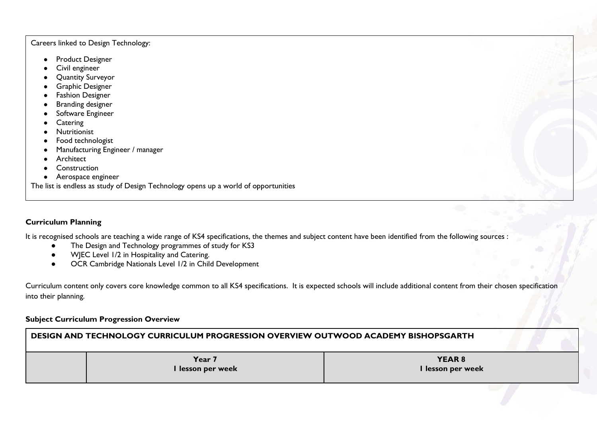#### Careers linked to Design Technology:

- Product Designer
- Civil engineer
- Quantity Surveyor
- Graphic Designer
- Fashion Designer
- Branding designer
- Software Engineer
- Catering
- Nutritionist
- Food technologist
- Manufacturing Engineer / manager
- **•** Architect
- Construction
- Aerospace engineer

The list is endless as study of Design Technology opens up a world of opportunities

# **Curriculum Planning**

It is recognised schools are teaching a wide range of KS4 specifications, the themes and subject content have been identified from the following sources :

- The Design and Technology programmes of study for KS3
- WJEC Level 1/2 in Hospitality and Catering.
- OCR Cambridge Nationals Level 1/2 in Child Development

Curriculum content only covers core knowledge common to all KS4 specifications. It is expected schools will include additional content from their chosen specification into their planning.

#### **Subject Curriculum Progression Overview**

| DESIGN AND TECHNOLOGY CURRICULUM PROGRESSION OVERVIEW OUTWOOD ACADEMY BISHOPSGARTH |                             |                                    |  |
|------------------------------------------------------------------------------------|-----------------------------|------------------------------------|--|
|                                                                                    | Year 7<br>I lesson per week | <b>YEAR 8</b><br>I lesson per week |  |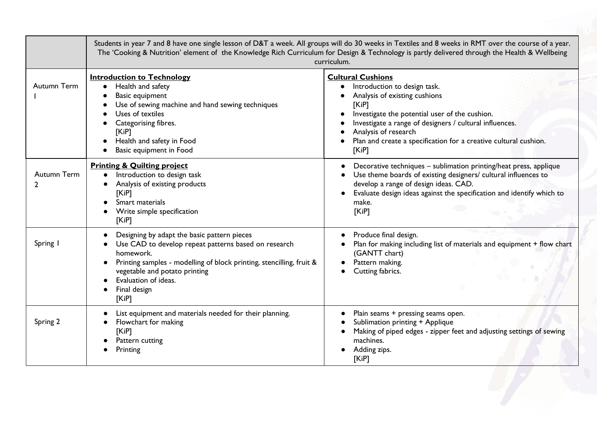|                  | Students in year 7 and 8 have one single lesson of D&T a week. All groups will do 30 weeks in Textiles and 8 weeks in RMT over the course of a year.<br>The 'Cooking & Nutrition' element of the Knowledge Rich Curriculum for Design & Technology is partly delivered through the Health & Wellbeing<br>curriculum. |                                                                                                                                                                                                                                                                                                                     |  |  |  |  |
|------------------|----------------------------------------------------------------------------------------------------------------------------------------------------------------------------------------------------------------------------------------------------------------------------------------------------------------------|---------------------------------------------------------------------------------------------------------------------------------------------------------------------------------------------------------------------------------------------------------------------------------------------------------------------|--|--|--|--|
| Autumn Term      | <b>Introduction to Technology</b><br>Health and safety<br>$\bullet$<br>Basic equipment<br>Use of sewing machine and hand sewing techniques<br>Uses of textiles<br>Categorising fibres.<br>[KiP]<br>Health and safety in Food<br>Basic equipment in Food                                                              | <b>Cultural Cushions</b><br>Introduction to design task.<br>Analysis of existing cushions<br>[KiP]<br>Investigate the potential user of the cushion.<br>Investigate a range of designers / cultural influences.<br>Analysis of research<br>Plan and create a specification for a creative cultural cushion.<br>KiPI |  |  |  |  |
| Autumn Term<br>2 | <b>Printing &amp; Quilting project</b><br>Introduction to design task<br>Analysis of existing products<br>KIP<br>Smart materials<br>Write simple specification<br>KiPI                                                                                                                                               | Decorative techniques - sublimation printing/heat press, applique<br>Use theme boards of existing designers/ cultural influences to<br>develop a range of design ideas. CAD.<br>Evaluate design ideas against the specification and identify which to<br>make.<br>[KiP]                                             |  |  |  |  |
| Spring           | Designing by adapt the basic pattern pieces<br>Use CAD to develop repeat patterns based on research<br>homework.<br>Printing samples - modelling of block printing, stencilling, fruit &<br>vegetable and potato printing<br>Evaluation of ideas.<br>Final design<br>KiPI                                            | Produce final design.<br>Plan for making including list of materials and equipment + flow chart<br>(GANTT chart)<br>Pattern making.<br>Cutting fabrics.                                                                                                                                                             |  |  |  |  |
| Spring 2         | List equipment and materials needed for their planning.<br>Flowchart for making<br>[KiP]<br>Pattern cutting<br>Printing                                                                                                                                                                                              | Plain seams + pressing seams open.<br>Sublimation printing + Applique<br>Making of piped edges - zipper feet and adjusting settings of sewing<br>machines.<br>Adding zips.<br>[KiP]                                                                                                                                 |  |  |  |  |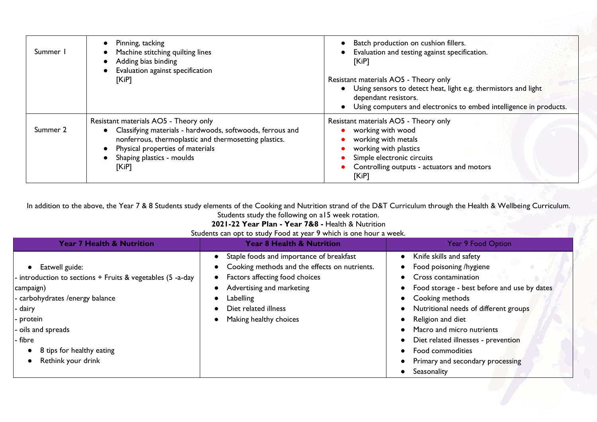| Summer I | Pinning, tacking<br>Machine stitching quilting lines<br>Adding bias binding<br>Evaluation against specification<br>[KiP]                                                                                                              | Batch production on cushion fillers.<br>Evaluation and testing against specification.<br>[KiP]<br>Resistant materials AO5 - Theory only<br>• Using sensors to detect heat, light e.g. thermistors and light<br>dependant resistors.<br>Using computers and electronics to embed intelligence in products. |
|----------|---------------------------------------------------------------------------------------------------------------------------------------------------------------------------------------------------------------------------------------|-----------------------------------------------------------------------------------------------------------------------------------------------------------------------------------------------------------------------------------------------------------------------------------------------------------|
| Summer 2 | Resistant materials AO5 - Theory only<br>Classifying materials - hardwoods, softwoods, ferrous and<br>nonferrous, thermoplastic and thermosetting plastics.<br>Physical properties of materials<br>Shaping plastics - moulds<br>[KiP] | Resistant materials AO5 - Theory only<br>working with wood<br>working with metals<br>working with plastics<br>Simple electronic circuits<br>Controlling outputs - actuators and motors<br>[KiP]                                                                                                           |

In addition to the above, the Year 7 & 8 Students study elements of the Cooking and Nutrition strand of the D&T Curriculum through the Health & Wellbeing Curriculum. Students study the following on a15 week rotation.

**2021-22 Year Plan - Year 7&8 -** Health & Nutrition

Students can opt to study Food at year 9 which is one hour a week.

| <b>Year 7 Health &amp; Nutrition</b>                                                                                                                                                                                               | Year 8 Health & Nutrition                                                                                                                                                                                               | <b>Year 9 Food Option</b>                                                                                                                                                                                                                                                                                                                            |
|------------------------------------------------------------------------------------------------------------------------------------------------------------------------------------------------------------------------------------|-------------------------------------------------------------------------------------------------------------------------------------------------------------------------------------------------------------------------|------------------------------------------------------------------------------------------------------------------------------------------------------------------------------------------------------------------------------------------------------------------------------------------------------------------------------------------------------|
| Eatwell guide:<br>introduction to sections + Fruits & vegetables (5 -a-day<br>campaign)<br>- carbohydrates /energy balance<br>- dairy<br>protein<br>oils and spreads<br>- fibre<br>8 tips for healthy eating<br>Rethink your drink | Staple foods and importance of breakfast<br>Cooking methods and the effects on nutrients.<br>Factors affecting food choices<br>Advertising and marketing<br>Labelling<br>Diet related illness<br>Making healthy choices | Knife skills and safety<br>Food poisoning /hygiene<br>Cross contamination<br>Food storage - best before and use by dates<br>Cooking methods<br>Nutritional needs of different groups<br>Religion and diet<br>Macro and micro nutrients<br>Diet related illnesses - prevention<br>Food commodities<br>Primary and secondary processing<br>Seasonality |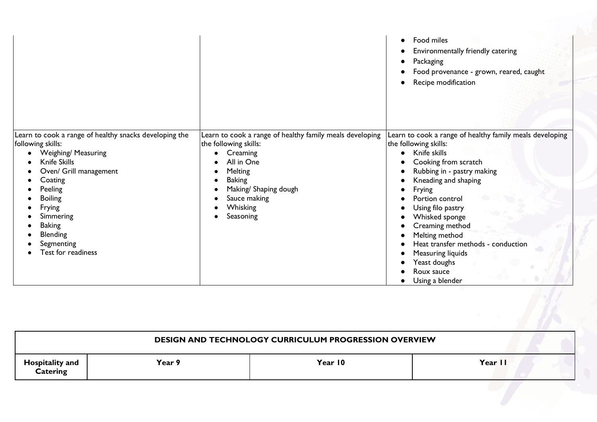|                                                                                                                                                                                                                                                                                            |                                                                                                                                                                                                                  | Food miles<br>$\bullet$<br>Environmentally friendly catering<br>Packaging<br>Food provenance - grown, reared, caught<br>Recipe modification                                                                                                                                                                                                                                                          |
|--------------------------------------------------------------------------------------------------------------------------------------------------------------------------------------------------------------------------------------------------------------------------------------------|------------------------------------------------------------------------------------------------------------------------------------------------------------------------------------------------------------------|------------------------------------------------------------------------------------------------------------------------------------------------------------------------------------------------------------------------------------------------------------------------------------------------------------------------------------------------------------------------------------------------------|
| Learn to cook a range of healthy snacks developing the<br>following skills:<br><b>Weighing/ Measuring</b><br>Knife Skills<br>Oven/ Grill management<br>Coating<br>Peeling<br><b>Boiling</b><br>Frying<br>Simmering<br><b>Baking</b><br><b>Blending</b><br>Segmenting<br>Test for readiness | Learn to cook a range of healthy family meals developing<br>the following skills:<br>Creaming<br>All in One<br>Melting<br><b>Baking</b><br>Making/ Shaping dough<br>Sauce making<br><b>Whisking</b><br>Seasoning | Learn to cook a range of healthy family meals developing<br>the following skills:<br>Knife skills<br>Cooking from scratch<br>Rubbing in - pastry making<br>Kneading and shaping<br>Frying<br>Portion control<br>Using filo pastry<br>Whisked sponge<br>Creaming method<br>Melting method<br>Heat transfer methods - conduction<br>Measuring liquids<br>Yeast doughs<br>Roux sauce<br>Using a blender |

| <b>DESIGN AND TECHNOLOGY CURRICULUM PROGRESSION OVERVIEW</b> |        |         |         |
|--------------------------------------------------------------|--------|---------|---------|
| Hospitality and<br><b>Catering</b>                           | Year 9 | Year 10 | Year II |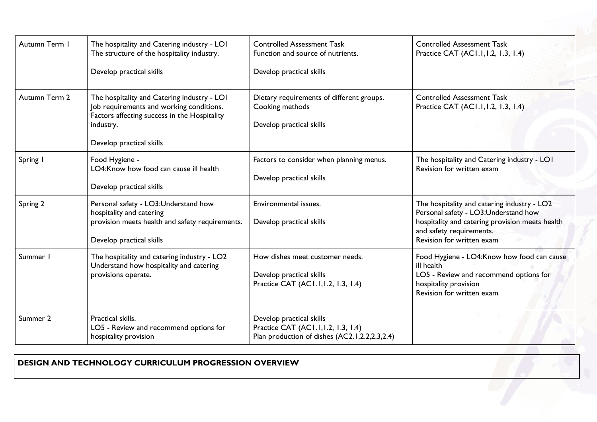| Autumn Term   | The hospitality and Catering industry - LOI<br>The structure of the hospitality industry.<br>Develop practical skills                                                            | <b>Controlled Assessment Task</b><br>Function and source of nutrients.<br>Develop practical skills               | <b>Controlled Assessment Task</b><br>Practice CAT (AC1.1, 1.2, 1.3, 1.4)                                                                                                                        |
|---------------|----------------------------------------------------------------------------------------------------------------------------------------------------------------------------------|------------------------------------------------------------------------------------------------------------------|-------------------------------------------------------------------------------------------------------------------------------------------------------------------------------------------------|
| Autumn Term 2 | The hospitality and Catering industry - LOI<br>Job requirements and working conditions.<br>Factors affecting success in the Hospitality<br>industry.<br>Develop practical skills | Dietary requirements of different groups.<br>Cooking methods<br>Develop practical skills                         | <b>Controlled Assessment Task</b><br>Practice CAT (AC1.1, 1.2, 1.3, 1.4)                                                                                                                        |
| Spring I      | Food Hygiene -<br>LO4:Know how food can cause ill health<br>Develop practical skills                                                                                             | Factors to consider when planning menus.<br>Develop practical skills                                             | The hospitality and Catering industry - LOI<br>Revision for written exam                                                                                                                        |
| Spring 2      | Personal safety - LO3:Understand how<br>hospitality and catering<br>provision meets health and safety requirements.<br>Develop practical skills                                  | Environmental issues.<br>Develop practical skills                                                                | The hospitality and catering industry - LO2<br>Personal safety - LO3:Understand how<br>hospitality and catering provision meets health<br>and safety requirements.<br>Revision for written exam |
| Summer        | The hospitality and catering industry - LO2<br>Understand how hospitality and catering<br>provisions operate.                                                                    | How dishes meet customer needs.<br>Develop practical skills<br>Practice CAT (AC1.1, 1.2, 1.3, 1.4)               | Food Hygiene - LO4: Know how food can cause<br>ill health<br>LO5 - Review and recommend options for<br>hospitality provision<br>Revision for written exam                                       |
| Summer 2      | Practical skills.<br>LO5 - Review and recommend options for<br>hospitality provision                                                                                             | Develop practical skills<br>Practice CAT (AC1.1, 1.2, 1.3, 1.4)<br>Plan production of dishes (AC2.1,2.2,2.3,2.4) |                                                                                                                                                                                                 |

**DESIGN AND TECHNOLOGY CURRICULUM PROGRESSION OVERVIEW**